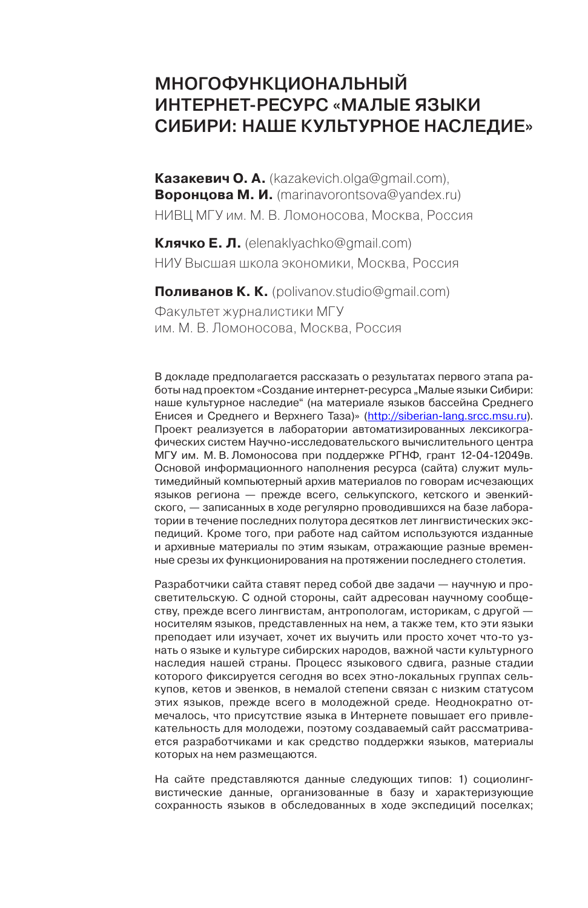# Многофункциональный интернет‑ресурс «Малые языки Cибири: наше культурное наследие»

**Казакевич О. А.** ([kazakevich.olga@gmail.com](mailto:kazakevich.olga@gmail.com)), **Воронцова М. И.** [\(marinavorontsova@yandex.ru\)](mailto:marinavorontsova@yandex.ru) НИВЦ МГУ им. М. В. Ломоносова, Москва, Россия

**Клячко Е. Л.** [\(elenaklyachko@gmail.com\)](mailto:elenaklyachko@gmail.com) НИУ Высшая школа экономики, Москва, Россия

**Поливанов К. К.** ([polivanov.studio@gmail.com\)](mailto:polivanov.studio@gmail.com)

Факультет журналистики МГУ им. М. В. Ломоносова, Москва, Россия

В докладе предполагается рассказать о результатах первого этапа работы над проектом «Создание интернет-ресурса "Малые языки Сибири: наше культурное наследие" (на материале языков бассейна Среднего Енисея и Среднего и Верхнего Таза)» ([http://siberian-lang.srcc.msu.ru](http://siberian-lang.srcc.msu.ru/)). Проект реализуется в лаборатории автоматизированных лексикографических систем Научно-исследовательского вычислительного центра МГУ им. М. В. Ломоносова при поддержке РГНФ, грант 12-04-12049в. Основой информационного наполнения ресурса (сайта) служит мультимедийный компьютерный архив материалов по говорам исчезающих языков региона — прежде всего, селькупского, кетского и эвенкийского, — записанных в ходе регулярно проводившихся на базе лаборатории в течение последних полутора десятков лет лингвистических экспедиций. Кроме того, при работе над сайтом используются изданные и архивные материалы по этим языкам, отражающие разные временные срезы их функционирования на протяжении последнего столетия.

Разработчики сайта ставят перед собой две задачи — научную и просветительскую. С одной стороны, сайт адресован научному сообществу, прежде всего лингвистам, антропологам, историкам, с другой носителям языков, представленных на нем, а также тем, кто эти языки преподает или изучает, хочет их выучить или просто хочет что-то узнать о языке и культуре сибирских народов, важной части культурного наследия нашей страны. Процесс языкового сдвига, разные стадии которого фиксируется сегодня во всех этно-локальных группах селькупов, кетов и эвенков, в немалой степени связан с низким статусом этих языков, прежде всего в молодежной среде. Неоднократно отмечалось, что присутствие языка в Интернете повышает его привлекательность для молодежи, поэтому создаваемый сайт рассматривается разработчиками и как средство поддержки языков, материалы которых на нем размещаются.

На сайте представляются данные следующих типов: 1) социолингвистические данные, организованные в базу и характеризующие сохранность языков в обследованных в ходе экспедиций поселках;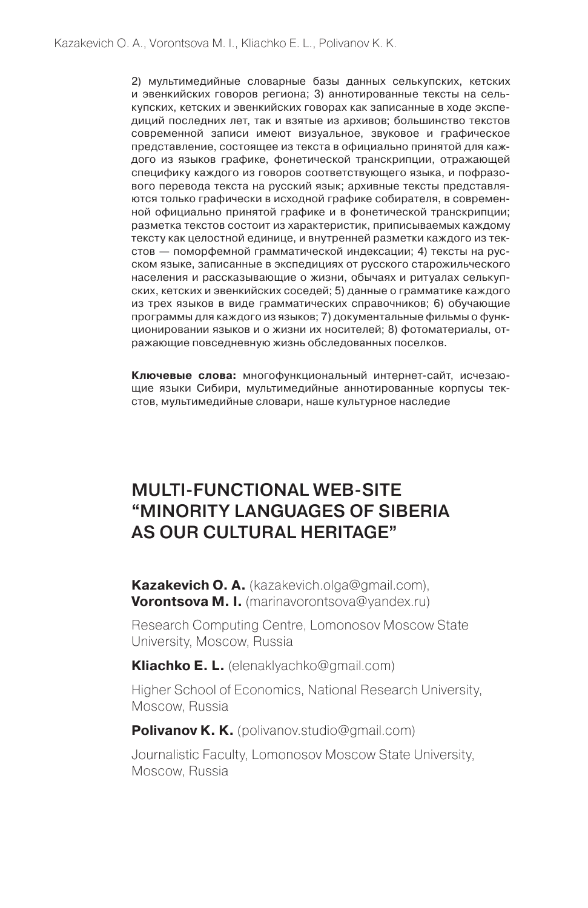2) мультимедийные словарные базы данных селькупских, кетских и эвенкийских говоров региона; 3) аннотированные тексты на селькупских, кетских и эвенкийских говорах как записанные в ходе экспедиций последних лет, так и взятые из архивов; большинство текстов современной записи имеют визуальное, звуковое и графическое представление, состоящее из текста в официально принятой для каждого из языков графике, фонетической транскрипции, отражающей специфику каждого из говоров соответствующего языка, и пофразового перевода текста на русский язык; архивные тексты представляются только графически в исходной графике собирателя, в современной официально принятой графике и в фонетической транскрипции; разметка текстов состоит из характеристик, приписываемых каждому тексту как целостной единице, и внутренней разметки каждого из текстов — поморфемной грамматической индексации; 4) тексты на русском языке, записанные в экспедициях от русского старожильческого населения и рассказывающие о жизни, обычаях и ритуалах селькупских, кетских и эвенкийских соседей; 5) данные о грамматике каждого из трех языков в виде грамматических справочников; 6) обучающие программы для каждого из языков; 7) документальные фильмы о функционировании языков и о жизни их носителей; 8) фотоматериалы, отражающие повседневную жизнь обследованных поселков.

**Ключевые слова:** многофункциональный интернет-сайт, исчезающие языки Сибири, мультимедийные аннотированные корпусы текстов, мультимедийные словари, наше культурное наследие

# Multi-functional web-site "Minority languages of Siberia as our cultural heritage"

**Kazakevich O. A.** [\(kazakevich.olga@gmail.com\)](mailto:kazakevich.olga@gmail.com), **Vorontsova M. I.** [\(marinavorontsova@yandex.ru](mailto:marinavorontsova@yandex.ru))

Research Computing Centre, Lomonosov Moscow State University, Moscow, Russia

**Kliachko E. L.** [\(elenaklyachko@gmail.com](mailto:elenaklyachko@gmail.com))

Higher School of Economics, National Research University, Moscow, Russia

**Polivanov K. K.** [\(polivanov.studio@gmail.com](mailto:polivanov.studio@gmail.com))

Journalistic Faculty, Lomonosov Moscow State University, Moscow, Russia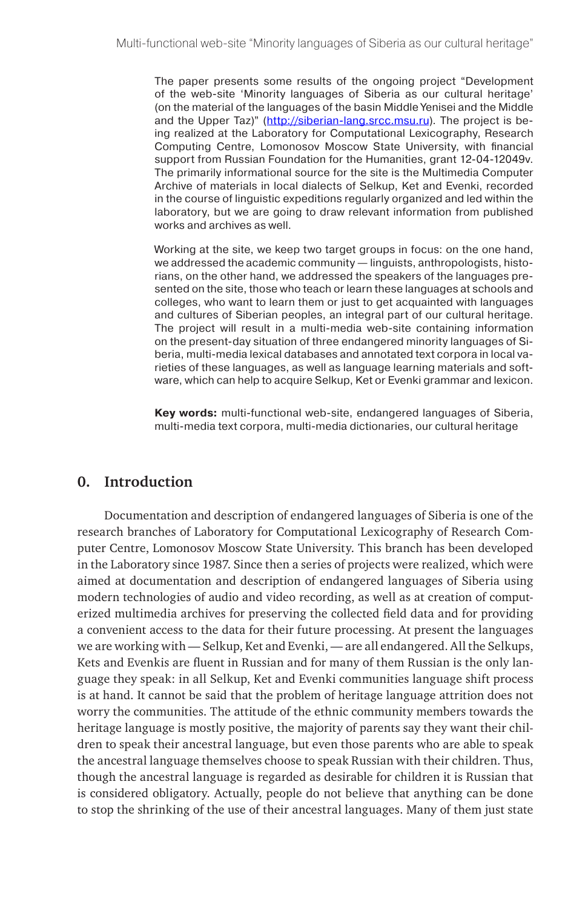The paper presents some results of the ongoing project "Development of the web-site 'Minority languages of Siberia as our cultural heritage' (on the material of the languages of the basin Middle Yenisei and the Middle and the Upper Taz)" ([http://siberian-lang.srcc.msu.ru\)](http://siberian-lang.srcc.msu.ru/). The project is being realized at the Laboratory for Computational Lexicography, Research Computing Centre, Lomonosov Moscow State University, with financial support from Russian Foundation for the Humanities, grant 12-04-12049v. The primarily informational source for the site is the Multimedia Computer Archive of materials in local dialects of Selkup, Ket and Evenki, recorded in the course of linguistic expeditions regularly organized and led within the laboratory, but we are going to draw relevant information from published works and archives as well.

Working at the site, we keep two target groups in focus: on the one hand, we addressed the academic community — linguists, anthropologists, historians, on the other hand, we addressed the speakers of the languages presented on the site, those who teach or learn these languages at schools and colleges, who want to learn them or just to get acquainted with languages and cultures of Siberian peoples, an integral part of our cultural heritage. The project will result in a multi-media web-site containing information on the present-day situation of three endangered minority languages of Siberia, multi-media lexical databases and annotated text corpora in local varieties of these languages, as well as language learning materials and software, which can help to acquire Selkup, Ket or Evenki grammar and lexicon.

**Key words:** multi-functional web-site, endangered languages of Siberia, multi-media text corpora, multi-media dictionaries, our cultural heritage

# **0. Introduction**

Documentation and description of endangered languages of Siberia is one of the research branches of Laboratory for Computational Lexicography of Research Computer Centre, Lomonosov Moscow State University. This branch has been developed in the Laboratory since 1987. Since then a series of projects were realized, which were aimed at documentation and description of endangered languages of Siberia using modern technologies of audio and video recording, as well as at creation of computerized multimedia archives for preserving the collected field data and for providing a convenient access to the data for their future processing. At present the languages we are working with — Selkup, Ket and Evenki, — are all endangered. All the Selkups, Kets and Evenkis are fluent in Russian and for many of them Russian is the only language they speak: in all Selkup, Ket and Evenki communities language shift process is at hand. It cannot be said that the problem of heritage language attrition does not worry the communities. The attitude of the ethnic community members towards the heritage language is mostly positive, the majority of parents say they want their children to speak their ancestral language, but even those parents who are able to speak the ancestral language themselves choose to speak Russian with their children. Thus, though the ancestral language is regarded as desirable for children it is Russian that is considered obligatory. Actually, people do not believe that anything can be done to stop the shrinking of the use of their ancestral languages. Many of them just state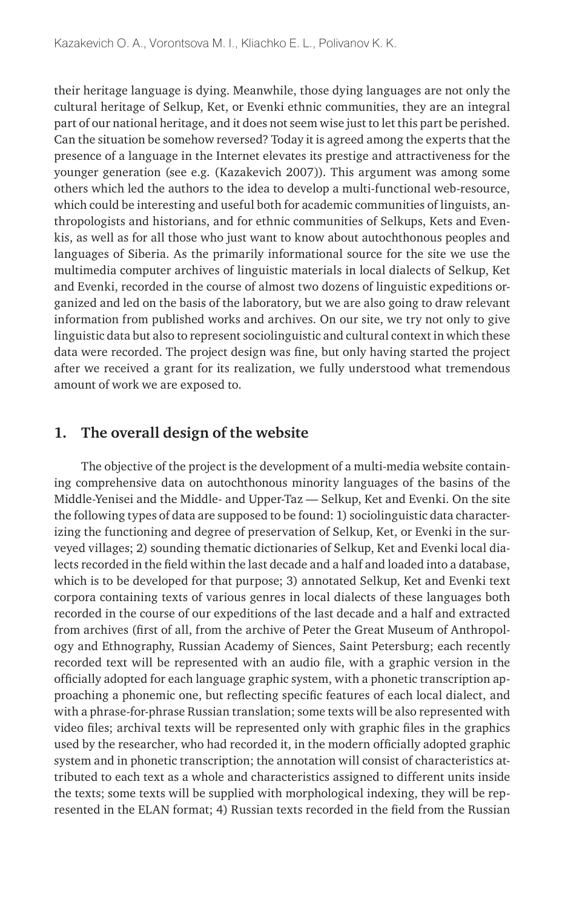their heritage language is dying. Meanwhile, those dying languages are not only the cultural heritage of Selkup, Ket, or Evenki ethnic communities, they are an integral part of our national heritage, and it does not seem wise just to let this part be perished. Can the situation be somehow reversed? Today it is agreed among the experts that the presence of a language in the Internet elevates its prestige and attractiveness for the younger generation (see e.g. (Kazakevich 2007)). This argument was among some others which led the authors to the idea to develop a multi-functional web-resource, which could be interesting and useful both for academic communities of linguists, anthropologists and historians, and for ethnic communities of Selkups, Kets and Evenkis, as well as for all those who just want to know about autochthonous peoples and languages of Siberia. As the primarily informational source for the site we use the multimedia computer archives of linguistic materials in local dialects of Selkup, Ket and Evenki, recorded in the course of almost two dozens of linguistic expeditions organized and led on the basis of the laboratory, but we are also going to draw relevant information from published works and archives. On our site, we try not only to give linguistic data but also to represent sociolinguistic and cultural context in which these data were recorded. The project design was fine, but only having started the project after we received a grant for its realization, we fully understood what tremendous amount of work we are exposed to.

# **1. The overall design of the website**

The objective of the project is the development of a multi-media website containing comprehensive data on autochthonous minority languages of the basins of the Middle-Yenisei and the Middle- and Upper-Taz — Selkup, Ket and Evenki. On the site the following types of data are supposed to be found: 1) sociolinguistic data characterizing the functioning and degree of preservation of Selkup, Ket, or Evenki in the surveyed villages; 2) sounding thematic dictionaries of Selkup, Ket and Evenki local dialects recorded in the field within the last decade and a half and loaded into a database, which is to be developed for that purpose; 3) annotated Selkup, Ket and Evenki text corpora containing texts of various genres in local dialects of these languages both recorded in the course of our expeditions of the last decade and a half and extracted from archives (first of all, from the archive of Peter the Great Museum of Anthropology and Ethnography, Russian Academy of Siences, Saint Petersburg; each recently recorded text will be represented with an audio file, with a graphic version in the officially adopted for each language graphic system, with a phonetic transcription approaching a phonemic one, but reflecting specific features of each local dialect, and with a phrase-for-phrase Russian translation; some texts will be also represented with video files; archival texts will be represented only with graphic files in the graphics used by the researcher, who had recorded it, in the modern officially adopted graphic system and in phonetic transcription; the annotation will consist of characteristics attributed to each text as a whole and characteristics assigned to different units inside the texts; some texts will be supplied with morphological indexing, they will be represented in the ELAN format; 4) Russian texts recorded in the field from the Russian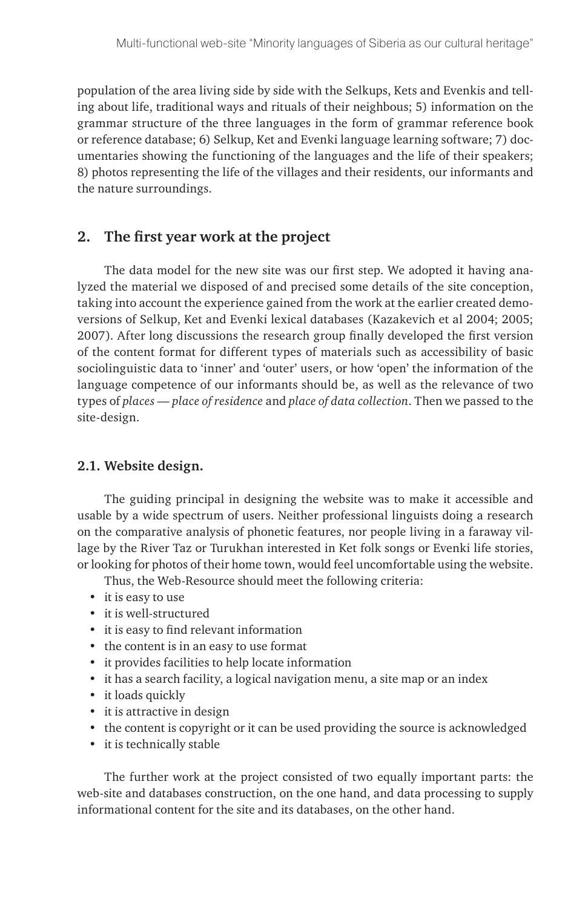population of the area living side by side with the Selkups, Kets and Evenkis and telling about life, traditional ways and rituals of their neighbous; 5) information on the grammar structure of the three languages in the form of grammar reference book or reference database; 6) Selkup, Ket and Evenki language learning software; 7) documentaries showing the functioning of the languages and the life of their speakers; 8) photos representing the life of the villages and their residents, our informants and the nature surroundings.

# **2. The first year work at the project**

The data model for the new site was our first step. We adopted it having analyzed the material we disposed of and precised some details of the site conception, taking into account the experience gained from the work at the earlier created demoversions of Selkup, Ket and Evenki lexical databases (Kazakevich et al 2004; 2005; 2007). After long discussions the research group finally developed the first version of the content format for different types of materials such as accessibility of basic sociolinguistic data to 'inner' and 'outer' users, or how 'open' the information of the language competence of our informants should be, as well as the relevance of two types of *places — place of residence* and *place of data collection*. Then we passed to the site-design.

## **2.1. Website design.**

The guiding principal in designing the website was to make it accessible and usable by a wide spectrum of users. Neither professional linguists doing a research on the comparative analysis of phonetic features, nor people living in a faraway village by the River Taz or Turukhan interested in Ket folk songs or Evenki life stories, or looking for photos of their home town, would feel uncomfortable using the website.

Thus, the Web-Resource should meet the following criteria:

- it is easy to use
- • it is well-structured
- • it is easy to find relevant information
- the content is in an easy to use format
- • it provides facilities to help locate information
- it has a search facility, a logical navigation menu, a site map or an index
- it loads quickly
- • it is attractive in design
- the content is copyright or it can be used providing the source is acknowledged
- • it is technically stable

The further work at the project consisted of two equally important parts: the web-site and databases construction, on the one hand, and data processing to supply informational content for the site and its databases, on the other hand.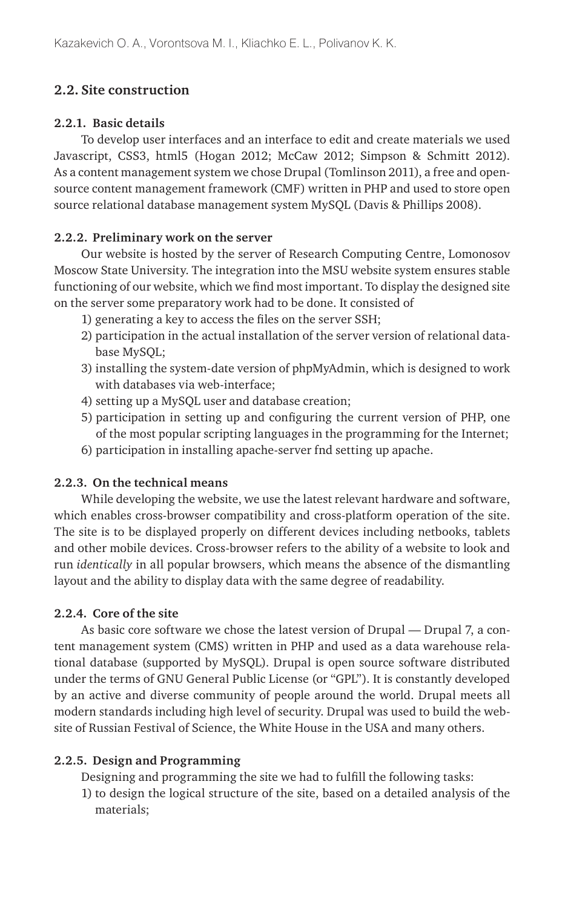# **2.2. Site construction**

#### **2.2.1. Basic details**

To develop user interfaces and an interface to edit and create materials we used Javascript, CSS3, html5 (Hogan 2012; McCaw 2012; Simpson & Schmitt 2012). As a content management system we chose Drupal (Tomlinson 2011), a free and opensource content management framework (CMF) written in PHP and used to store open source relational database management system MySQL (Davis & Phillips 2008).

### **2.2.2. Preliminary work on the server**

Our website is hosted by the server of Research Computing Centre, Lomonosov Moscow State University. The integration into the MSU website system ensures stable functioning of our website, which we find most important. To display the designed site on the server some preparatory work had to be done. It consisted of

- 1) generating a key to access the files on the server SSH;
- 2) participation in the actual installation of the server version of relational database MySQL;
- 3) installing the system-date version of phpMyAdmin, which is designed to work with databases via web-interface;
- 4) setting up a MySQL user and database creation;
- 5) participation in setting up and configuring the current version of PHP, one of the most popular scripting languages in the programming for the Internet;
- 6) participation in installing apache-server fnd setting up apache.

## **2.2.3. On the technical means**

While developing the website, we use the latest relevant hardware and software, which enables cross-browser compatibility and cross-platform operation of the site. The site is to be displayed properly on different devices including netbooks, tablets and other mobile devices. Cross-browser refers to the ability of a website to look and run *identically* in all popular browsers, which means the absence of the dismantling layout and the ability to display data with the same degree of readability.

### **2.2.4. Core of the site**

As basic core software we chose the latest version of Drupal — Drupal 7, a content management system (CMS) written in PHP and used as a data warehouse relational database (supported by MySQL). Drupal is open source software distributed under the terms of GNU General Public License (or "GPL"). It is constantly developed by an active and diverse community of people around the world. Drupal meets all modern standards including high level of security. Drupal was used to build the website of Russian Festival of Science, the White House in the USA and many others.

#### **2.2.5. Design and Programming**

Designing and programming the site we had to fulfill the following tasks:

1) to design the logical structure of the site, based on a detailed analysis of the materials;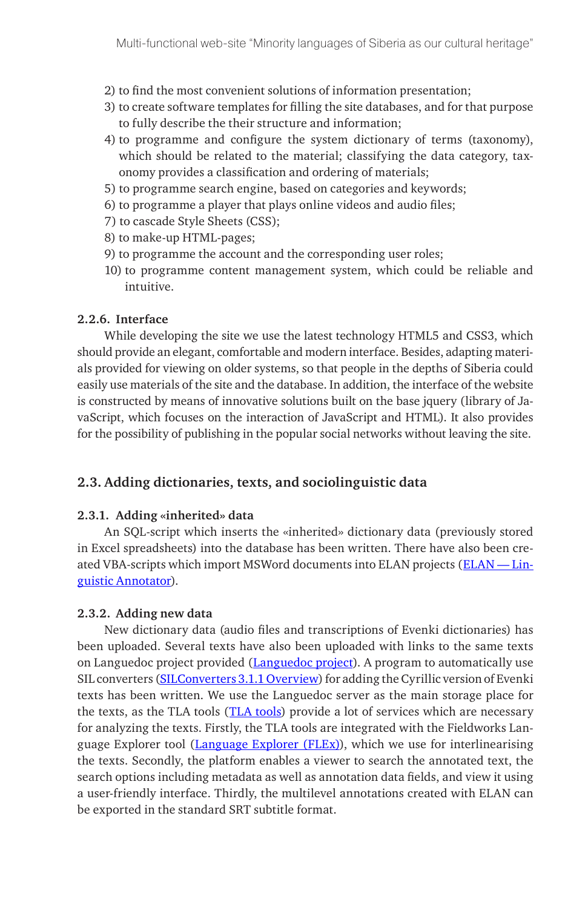- 2) to find the most convenient solutions of information presentation;
- 3) to create software templates for filling the site databases, and for that purpose to fully describe the their structure and information;
- 4) to programme and configure the system dictionary of terms (taxonomy), which should be related to the material; classifying the data category, taxonomy provides a classification and ordering of materials;
- 5) to programme search engine, based on categories and keywords;
- 6) to programme a player that plays online videos and audio files;
- 7) to cascade Style Sheets (CSS);
- 8) to make-up HTML-pages;
- 9) to programme the account and the corresponding user roles;
- 10) to programme content management system, which could be reliable and intuitive.

#### **2.2.6. Interface**

While developing the site we use the latest technology HTML5 and CSS3, which should provide an elegant, comfortable and modern interface. Besides, adapting materials provided for viewing on older systems, so that people in the depths of Siberia could easily use materials of the site and the database. In addition, the interface of the website is constructed by means of innovative solutions built on the base jquery (library of JavaScript, which focuses on the interaction of JavaScript and HTML). It also provides for the possibility of publishing in the popular social networks without leaving the site.

#### **2.3. Adding dictionaries, texts, and sociolinguistic data**

#### **2.3.1. Adding «inherited» data**

An SQL-script which inserts the «inherited» dictionary data (previously stored in Excel spreadsheets) into the database has been written. There have also been created VBA-scripts which import MSWord documents into ELAN projects (ELAN -Lin[guistic Annotator](http://www.mpi.nl/corpus/html/elan/index.html)).

#### **2.3.2. Adding new data**

New dictionary data (audio files and transcriptions of Evenki dictionaries) has been uploaded. Several texts have also been uploaded with links to the same texts on Languedoc project provided ([Languedoc project\)](http://languedoc.philol.msu.ru). A program to automatically use SIL converters [\(SILConverters 3.1.1 Overview](http://scripts.sil.org/cms/scripts/page.php?item_id=EncCnvtrs )) for adding the Cyrillic version of Evenki texts has been written. We use the Languedoc server as the main storage place for the texts, as the TLA tools ([TLA tools\)](http://tla.mpi.nl/tools/tla-tools/) provide a lot of services which are necessary for analyzing the texts. Firstly, the TLA tools are integrated with the Fieldworks Language Explorer tool ([Language Explorer \(FLEx\)\)](http://fieldworks.sil.org/flex/), which we use for interlinearising the texts. Secondly, the platform enables a viewer to search the annotated text, the search options including metadata as well as annotation data fields, and view it using a user-friendly interface. Thirdly, the multilevel annotations created with ELAN can be exported in the standard SRT subtitle format.